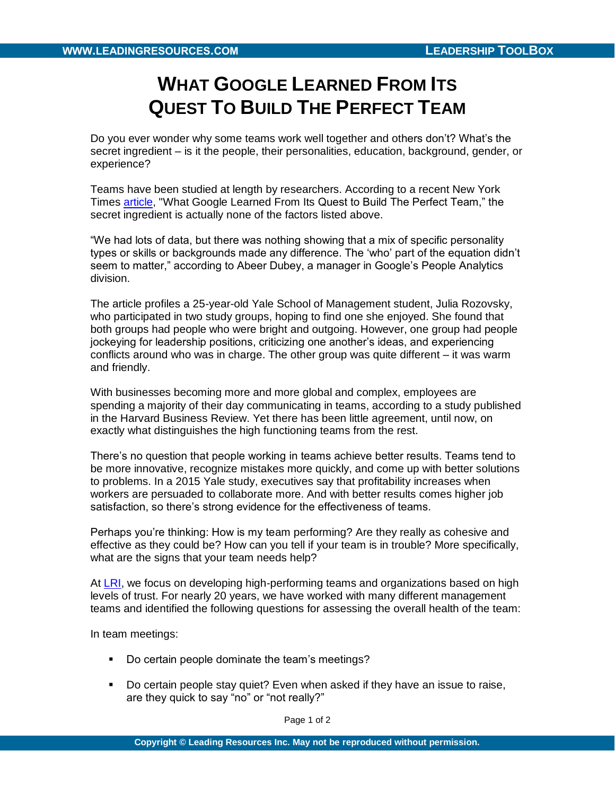## **WHAT GOOGLE LEARNED FROM ITS QUEST TO BUILD THE PERFECT TEAM**

Do you ever wonder why some teams work well together and others don't? What's the secret ingredient – is it the people, their personalities, education, background, gender, or experience?

Teams have been studied at length by researchers. According to a recent New York Times [article,](http://www.nytimes.com/2016/02/28/magazine/what-google-learned-from-its-quest-to-build-the-perfect-team.html?emc=eta1&_r=0) "What Google Learned From Its Quest to Build The Perfect Team," the secret ingredient is actually none of the factors listed above.

"We had lots of data, but there was nothing showing that a mix of specific personality types or skills or backgrounds made any difference. The 'who' part of the equation didn't seem to matter," according to Abeer Dubey, a manager in Google's People Analytics division.

The article profiles a 25-year-old Yale School of Management student, Julia Rozovsky, who participated in two study groups, hoping to find one she enjoyed. She found that both groups had people who were bright and outgoing. However, one group had people jockeying for leadership positions, criticizing one another's ideas, and experiencing conflicts around who was in charge. The other group was quite different – it was warm and friendly.

With businesses becoming more and more global and complex, employees are spending a majority of their day communicating in teams, according to a study published in the Harvard Business Review. Yet there has been little agreement, until now, on exactly what distinguishes the high functioning teams from the rest.

There's no question that people working in teams achieve better results. Teams tend to be more innovative, recognize mistakes more quickly, and come up with better solutions to problems. In a 2015 Yale study, executives say that profitability increases when workers are persuaded to collaborate more. And with better results comes higher job satisfaction, so there's strong evidence for the effectiveness of teams.

Perhaps you're thinking: How is my team performing? Are they really as cohesive and effective as they could be? How can you tell if your team is in trouble? More specifically, what are the signs that your team needs help?

At [LRI,](http://www.leading-resources.com/) we focus on developing high-performing teams and organizations based on high levels of trust. For nearly 20 years, we have worked with many different management teams and identified the following questions for assessing the overall health of the team:

In team meetings:

- Do certain people dominate the team's meetings?
- Do certain people stay quiet? Even when asked if they have an issue to raise, are they quick to say "no" or "not really?"

Page 1 of 2